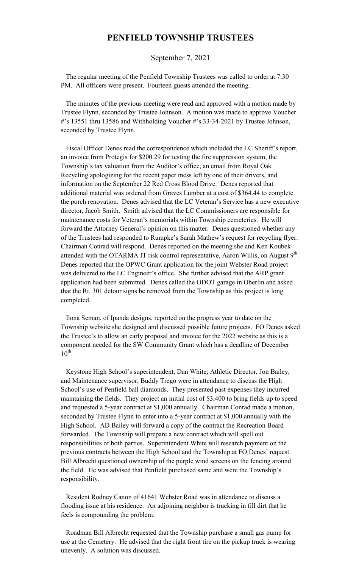## **PENFIELD TOWNSHIP TRUSTEES**

September 7, 2021

 The regular meeting of the Penfield Township Trustees was called to order at 7:30 PM. All officers were present. Fourteen guests attended the meeting.

 The minutes of the previous meeting were read and approved with a motion made by Trustee Flynn, seconded by Trustee Johnson. A motion was made to approve Voucher #'s 13551 thru 13586 and Withholding Voucher #'s 33-34-2021 by Trustee Johnson, seconded by Trustee Flynn.

 Fiscal Officer Denes read the correspondence which included the LC Sheriff's report, an invoice from Protegis for \$200.29 for testing the fire suppression system, the Township's tax valuation from the Auditor's office, an email from Royal Oak Recycling apologizing for the recent paper mess left by one of their drivers, and information on the September 22 Red Cross Blood Drive. Denes reported that additional material was ordered from Graves Lumber at a cost of \$364.44 to complete the porch renovation. Denes advised that the LC Veteran's Service has a new executive director, Jacob Smith. Smith advised that the LC Commissioners are responsible for maintenance costs for Veteran's memorials within Township cemeteries. He will forward the Attorney General's opinion on this matter. Denes questioned whether any of the Trustees had responded to Rumpke's Sarah Mathew's request for recycling flyer. Chairman Conrad will respond. Denes reported on the meeting she and Ken Koubek attended with the OTARMA IT risk control representative, Aaron Willis, on August  $9<sup>th</sup>$ . Denes reported that the OPWC Grant application for the joint Webster Road project was delivered to the LC Engineer's office. She further advised that the ARP grant application had been submitted. Denes called the ODOT garage in Oberlin and asked that the Rt. 301 detour signs be removed from the Township as this project is long completed.

 Ilona Seman, of Ipanda designs, reported on the progress year to date on the Township website she designed and discussed possible future projects. FO Denes asked the Trustee's to allow an early proposal and invoice for the 2022 website as this is a component needed for the SW Community Grant which has a deadline of December  $10^{\text{th}}$ .

 Keystone High School's superintendent, Dan White; Athletic Director, Jon Bailey, and Maintenance supervisor, Buddy Trego were in attendance to discuss the High School's use of Penfield ball diamonds. They presented past expenses they incurred maintaining the fields. They project an initial cost of \$3,400 to bring fields up to speed and requested a 5-year contract at \$1,000 annually. Chairman Conrad made a motion, seconded by Trustee Flynn to enter into a 5-year contract at \$1,000 annually with the High School. AD Bailey will forward a copy of the contract the Recreation Board forwarded. The Township will prepare a new contract which will spell out responsibilities of both parties. Superintendent White will research payment on the previous contracts between the High School and the Township at FO Denes' request. Bill Albrecht questioned ownership of the purple wind screens on the fencing around the field. He was advised that Penfield purchased same and were the Township's responsibility.

 Resident Rodney Canon of 41641 Webster Road was in attendance to discuss a flooding issue at his residence. An adjoining neighbor is trucking in fill dirt that he feels is compounding the problem.

 Roadman Bill Albrecht requested that the Township purchase a small gas pump for use at the Cemetery. He advised that the right front tire on the pickup truck is wearing unevenly. A solution was discussed.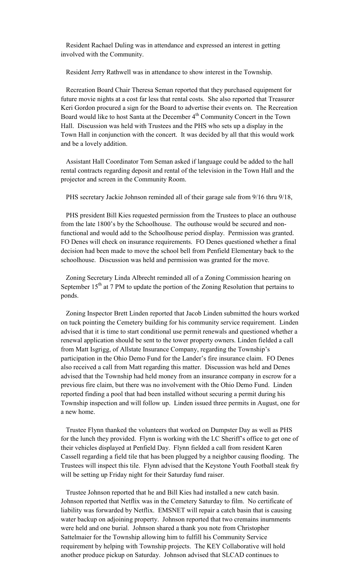Resident Rachael Duling was in attendance and expressed an interest in getting involved with the Community.

Resident Jerry Rathwell was in attendance to show interest in the Township.

 Recreation Board Chair Theresa Seman reported that they purchased equipment for future movie nights at a cost far less that rental costs. She also reported that Treasurer Keri Gordon procured a sign for the Board to advertise their events on. The Recreation Board would like to host Santa at the December 4<sup>th</sup> Community Concert in the Town Hall. Discussion was held with Trustees and the PHS who sets up a display in the Town Hall in conjunction with the concert. It was decided by all that this would work and be a lovely addition.

 Assistant Hall Coordinator Tom Seman asked if language could be added to the hall rental contracts regarding deposit and rental of the television in the Town Hall and the projector and screen in the Community Room.

PHS secretary Jackie Johnson reminded all of their garage sale from 9/16 thru 9/18,

 PHS president Bill Kies requested permission from the Trustees to place an outhouse from the late 1800's by the Schoolhouse. The outhouse would be secured and nonfunctional and would add to the Schoolhouse period display. Permission was granted. FO Denes will check on insurance requirements. FO Denes questioned whether a final decision had been made to move the school bell from Penfield Elementary back to the schoolhouse. Discussion was held and permission was granted for the move.

 Zoning Secretary Linda Albrecht reminded all of a Zoning Commission hearing on September  $15<sup>th</sup>$  at 7 PM to update the portion of the Zoning Resolution that pertains to ponds.

 Zoning Inspector Brett Linden reported that Jacob Linden submitted the hours worked on tuck pointing the Cemetery building for his community service requirement. Linden advised that it is time to start conditional use permit renewals and questioned whether a renewal application should be sent to the tower property owners. Linden fielded a call from Matt Isgrigg, of Allstate Insurance Company, regarding the Township's participation in the Ohio Demo Fund for the Lander's fire insurance claim. FO Denes also received a call from Matt regarding this matter. Discussion was held and Denes advised that the Township had held money from an insurance company in escrow for a previous fire claim, but there was no involvement with the Ohio Demo Fund. Linden reported finding a pool that had been installed without securing a permit during his Township inspection and will follow up. Linden issued three permits in August, one for a new home.

 Trustee Flynn thanked the volunteers that worked on Dumpster Day as well as PHS for the lunch they provided. Flynn is working with the LC Sheriff's office to get one of their vehicles displayed at Penfield Day. Flynn fielded a call from resident Karen Cassell regarding a field tile that has been plugged by a neighbor causing flooding. The Trustees will inspect this tile. Flynn advised that the Keystone Youth Football steak fry will be setting up Friday night for their Saturday fund raiser.

 Trustee Johnson reported that he and Bill Kies had installed a new catch basin. Johnson reported that Netflix was in the Cemetery Saturday to film. No certificate of liability was forwarded by Netflix. EMSNET will repair a catch basin that is causing water backup on adjoining property. Johnson reported that two cremains inurnments were held and one burial. Johnson shared a thank you note from Christopher Sattelmaier for the Township allowing him to fulfill his Community Service requirement by helping with Township projects. The KEY Collaborative will hold another produce pickup on Saturday. Johnson advised that SLCAD continues to